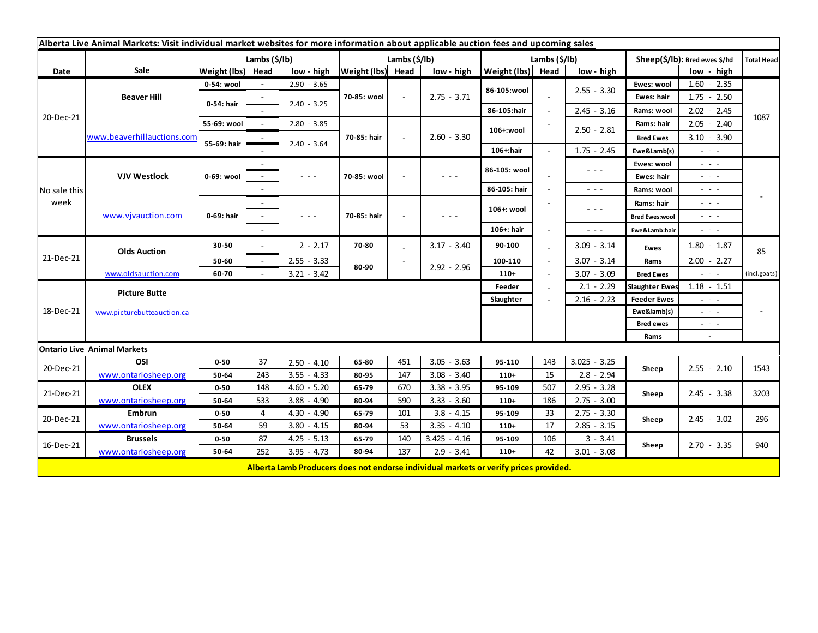| Alberta Live Animal Markets: Visit individual market websites for more information about applicable auction fees and upcoming sales |                            |                       |        |                                                                                                                           |                   |              |                                                                                       |               |      |                                                                                                                                                                                                                                                                                                                                                                                                                                                |                               |                                                                                                                           |              |
|-------------------------------------------------------------------------------------------------------------------------------------|----------------------------|-----------------------|--------|---------------------------------------------------------------------------------------------------------------------------|-------------------|--------------|---------------------------------------------------------------------------------------|---------------|------|------------------------------------------------------------------------------------------------------------------------------------------------------------------------------------------------------------------------------------------------------------------------------------------------------------------------------------------------------------------------------------------------------------------------------------------------|-------------------------------|---------------------------------------------------------------------------------------------------------------------------|--------------|
|                                                                                                                                     |                            | Lambs $(\frac{2}{3})$ |        |                                                                                                                           | Lambs (\$/lb)     |              |                                                                                       | Lambs (\$/lb) |      |                                                                                                                                                                                                                                                                                                                                                                                                                                                | Sheep(\$/lb): Bred ewes \$/hd |                                                                                                                           | Total Head   |
| Date                                                                                                                                | Sale                       | Weight (lbs)          | Head   | low - high                                                                                                                | Weight (lbs) Head |              | low - high                                                                            | Weight (lbs)  | Head | low - high                                                                                                                                                                                                                                                                                                                                                                                                                                     |                               | low - high                                                                                                                |              |
| 20-Dec-21                                                                                                                           | <b>Beaver Hill</b>         | 0-54: wool            |        | $2.90 - 3.65$                                                                                                             | 70-85: wool       | $\sim$       | $2.75 - 3.71$                                                                         | 86-105:wool   |      |                                                                                                                                                                                                                                                                                                                                                                                                                                                | Ewes: wool                    | $1.60 - 2.35$                                                                                                             |              |
|                                                                                                                                     |                            | 0-54: hair            |        |                                                                                                                           |                   |              |                                                                                       |               |      | $2.55 - 3.30$                                                                                                                                                                                                                                                                                                                                                                                                                                  | Ewes: hair                    | $1.75 - 2.50$                                                                                                             |              |
|                                                                                                                                     |                            |                       |        | $2.40 - 3.25$                                                                                                             |                   |              |                                                                                       | 86-105:hair   |      | $2.45 - 3.16$                                                                                                                                                                                                                                                                                                                                                                                                                                  | Rams: wool                    | $2.02 - 2.45$                                                                                                             |              |
|                                                                                                                                     | www.beaverhillauctions.com | 55-69: wool           |        | $2.80 - 3.85$                                                                                                             | 70-85: hair       | $\mathbf{r}$ | $2.60 - 3.30$                                                                         | 106+:wool     |      | $2.50 - 2.81$                                                                                                                                                                                                                                                                                                                                                                                                                                  | Rams: hair                    | $2.05 - 2.40$                                                                                                             | 1087         |
|                                                                                                                                     |                            | 55-69: hair           |        |                                                                                                                           |                   |              |                                                                                       |               |      |                                                                                                                                                                                                                                                                                                                                                                                                                                                | <b>Bred Ewes</b>              | $3.10 - 3.90$                                                                                                             |              |
|                                                                                                                                     |                            |                       |        | $2.40 - 3.64$                                                                                                             |                   |              |                                                                                       | 106+:hair     |      | $1.75 - 2.45$                                                                                                                                                                                                                                                                                                                                                                                                                                  | Ewe&Lamb(s)                   | $\sim$ 10 $\sim$                                                                                                          |              |
| No sale this<br>week                                                                                                                | <b>VJV Westlock</b>        | 0-69: wool            |        |                                                                                                                           | 70-85: wool       |              | $  -$                                                                                 | 86-105: wool  |      | $\sim$ $\sim$ $\sim$                                                                                                                                                                                                                                                                                                                                                                                                                           | Ewes: wool                    | $\frac{1}{2} \left( \frac{1}{2} \right) \left( \frac{1}{2} \right) \left( \frac{1}{2} \right) \left( \frac{1}{2} \right)$ |              |
|                                                                                                                                     |                            |                       |        | $\frac{1}{2} \left( \frac{1}{2} \right) \left( \frac{1}{2} \right) \left( \frac{1}{2} \right) \left( \frac{1}{2} \right)$ |                   |              |                                                                                       |               |      |                                                                                                                                                                                                                                                                                                                                                                                                                                                | Ewes: hair                    | $\frac{1}{2} \left( \frac{1}{2} \right) \left( \frac{1}{2} \right) \left( \frac{1}{2} \right) \left( \frac{1}{2} \right)$ |              |
|                                                                                                                                     |                            |                       |        |                                                                                                                           |                   |              |                                                                                       | 86-105: hair  |      | $\frac{1}{2} \left( \frac{1}{2} \right) \frac{1}{2} \left( \frac{1}{2} \right) \frac{1}{2} \left( \frac{1}{2} \right)$                                                                                                                                                                                                                                                                                                                         | Rams: wool                    | $\sim$ 100 $\pm$                                                                                                          |              |
|                                                                                                                                     | www.vjvauction.com         | 0-69: hair            | $\sim$ |                                                                                                                           | 70-85: hair       |              | $  -$                                                                                 | 106+: wool    |      | $\frac{1}{2} \left( \frac{1}{2} \right) + \frac{1}{2} \left( \frac{1}{2} \right) + \frac{1}{2} \left( \frac{1}{2} \right) + \frac{1}{2} \left( \frac{1}{2} \right) + \frac{1}{2} \left( \frac{1}{2} \right) + \frac{1}{2} \left( \frac{1}{2} \right) + \frac{1}{2} \left( \frac{1}{2} \right) + \frac{1}{2} \left( \frac{1}{2} \right) + \frac{1}{2} \left( \frac{1}{2} \right) + \frac{1}{2} \left( \frac{1}{2} \right) + \frac{1}{2} \left($ | Rams: hair                    | $ -$                                                                                                                      |              |
|                                                                                                                                     |                            |                       |        | $  -$                                                                                                                     |                   |              |                                                                                       |               |      |                                                                                                                                                                                                                                                                                                                                                                                                                                                | <b>Bred Ewes:wool</b>         | $\frac{1}{2} \left( \frac{1}{2} \right) \frac{1}{2} \left( \frac{1}{2} \right) \frac{1}{2} \left( \frac{1}{2} \right)$    |              |
|                                                                                                                                     |                            |                       |        |                                                                                                                           |                   |              |                                                                                       | 106+: hair    |      | $\frac{1}{2} \left( \frac{1}{2} \right) \frac{1}{2} \left( \frac{1}{2} \right) \frac{1}{2} \left( \frac{1}{2} \right)$                                                                                                                                                                                                                                                                                                                         | Ewe&Lamb:hair                 | $  -$                                                                                                                     |              |
| 21-Dec-21                                                                                                                           | <b>Olds Auction</b>        | 30-50                 | $\sim$ | $2 - 2.17$                                                                                                                | 70-80             |              | $3.17 - 3.40$                                                                         | 90-100        |      | $3.09 - 3.14$                                                                                                                                                                                                                                                                                                                                                                                                                                  | Ewes                          | $1.80 - 1.87$                                                                                                             | 85           |
|                                                                                                                                     |                            | 50-60                 | $\sim$ | $2.55 - 3.33$                                                                                                             | 80-90             |              |                                                                                       | 100-110       |      | $3.07 - 3.14$                                                                                                                                                                                                                                                                                                                                                                                                                                  | Rams                          | $2.00 - 2.27$                                                                                                             |              |
|                                                                                                                                     | www.oldsauction.com        | 60-70                 |        | $3.21 - 3.42$                                                                                                             |                   |              | $2.92 - 2.96$                                                                         | $110+$        |      | $3.07 - 3.09$                                                                                                                                                                                                                                                                                                                                                                                                                                  | <b>Bred Ewes</b>              | $\sim$ 10 $\sim$                                                                                                          | (incl.goats) |
| 18-Dec-21                                                                                                                           | <b>Picture Butte</b>       |                       |        |                                                                                                                           |                   |              |                                                                                       | Feeder        |      | $2.1 - 2.29$                                                                                                                                                                                                                                                                                                                                                                                                                                   | <b>Slaughter Ewes</b>         | $1.18 - 1.51$                                                                                                             |              |
|                                                                                                                                     |                            |                       |        |                                                                                                                           |                   |              |                                                                                       |               |      | $2.16 - 2.23$                                                                                                                                                                                                                                                                                                                                                                                                                                  | <b>Feeder Ewes</b>            | $\sim$ 10 $\sim$                                                                                                          |              |
|                                                                                                                                     | www.picturebutteauction.ca |                       |        |                                                                                                                           |                   |              |                                                                                       |               |      |                                                                                                                                                                                                                                                                                                                                                                                                                                                | Ewe&lamb(s)                   | $\sim$ 100 $\pm$                                                                                                          |              |
|                                                                                                                                     |                            |                       |        |                                                                                                                           |                   |              |                                                                                       |               |      |                                                                                                                                                                                                                                                                                                                                                                                                                                                | <b>Bred ewes</b>              | $\sim$ $\sim$ $\sim$                                                                                                      |              |
|                                                                                                                                     |                            |                       |        |                                                                                                                           |                   |              |                                                                                       |               |      |                                                                                                                                                                                                                                                                                                                                                                                                                                                | Rams                          | $\sim$                                                                                                                    |              |
| <b>Ontario Live Animal Markets</b>                                                                                                  |                            |                       |        |                                                                                                                           |                   |              |                                                                                       |               |      |                                                                                                                                                                                                                                                                                                                                                                                                                                                |                               |                                                                                                                           |              |
| 20-Dec-21                                                                                                                           | OSI                        | $0 - 50$              | 37     | $2.50 - 4.10$                                                                                                             | 65-80             | 451          | $3.05 - 3.63$                                                                         | 95-110        | 143  | $3.025 - 3.25$                                                                                                                                                                                                                                                                                                                                                                                                                                 | Sheep                         | $2.55 - 2.10$                                                                                                             | 1543         |
|                                                                                                                                     | www.ontariosheep.org       | 50-64                 | 243    | $3.55 - 4.33$                                                                                                             | 80-95             | 147          | $3.08 - 3.40$                                                                         | $110+$        | 15   | $2.8 - 2.94$                                                                                                                                                                                                                                                                                                                                                                                                                                   |                               |                                                                                                                           |              |
| 21-Dec-21                                                                                                                           | <b>OLEX</b>                | $0 - 50$              | 148    | $4.60 - 5.20$                                                                                                             | 65-79             | 670          | $3.38 - 3.95$                                                                         | 95-109        | 507  | $2.95 - 3.28$                                                                                                                                                                                                                                                                                                                                                                                                                                  | Sheep                         | $2.45 - 3.38$                                                                                                             | 3203         |
|                                                                                                                                     | www.ontariosheep.org       | 50-64                 | 533    | $3.88 - 4.90$                                                                                                             | 80-94             | 590          | $3.33 - 3.60$                                                                         | $110+$        | 186  | $2.75 - 3.00$                                                                                                                                                                                                                                                                                                                                                                                                                                  |                               |                                                                                                                           |              |
| 20-Dec-21                                                                                                                           | <b>Embrun</b>              | $0 - 50$              | 4      | $4.30 - 4.90$                                                                                                             | 65-79             | 101          | $3.8 - 4.15$                                                                          | 95-109        | 33   | $2.75 - 3.30$                                                                                                                                                                                                                                                                                                                                                                                                                                  | Sheep                         | $2.45 - 3.02$                                                                                                             | 296          |
|                                                                                                                                     | www.ontariosheep.org       | 50-64                 | 59     | $3.80 - 4.15$                                                                                                             | 80-94             | 53           | $3.35 - 4.10$                                                                         | $110+$        | 17   | $2.85 - 3.15$                                                                                                                                                                                                                                                                                                                                                                                                                                  |                               |                                                                                                                           |              |
| 16-Dec-21                                                                                                                           | <b>Brussels</b>            | $0 - 50$              | 87     | $4.25 - 5.13$                                                                                                             | 65-79             | 140          | $3.425 - 4.16$                                                                        | 95-109        | 106  | $3 - 3.41$                                                                                                                                                                                                                                                                                                                                                                                                                                     | Sheep                         | $2.70 - 3.35$                                                                                                             | 940          |
|                                                                                                                                     | www.ontariosheep.org       | 50-64                 | 252    | $3.95 - 4.73$                                                                                                             | 80-94             | 137          | $2.9 - 3.41$                                                                          | $110+$        | 42   | $3.01 - 3.08$                                                                                                                                                                                                                                                                                                                                                                                                                                  |                               |                                                                                                                           |              |
|                                                                                                                                     |                            |                       |        |                                                                                                                           |                   |              | Alberta Lamb Producers does not endorse individual markets or verify prices provided. |               |      |                                                                                                                                                                                                                                                                                                                                                                                                                                                |                               |                                                                                                                           |              |